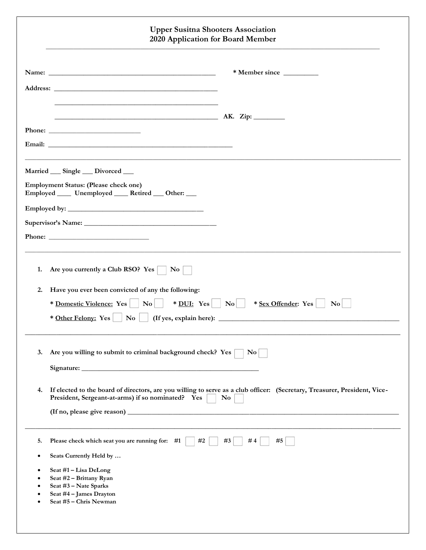|           | <b>Upper Susitna Shooters Association</b><br>2020 Application for Board Member                                                                                                                                                                                                                                                  |
|-----------|---------------------------------------------------------------------------------------------------------------------------------------------------------------------------------------------------------------------------------------------------------------------------------------------------------------------------------|
|           |                                                                                                                                                                                                                                                                                                                                 |
|           |                                                                                                                                                                                                                                                                                                                                 |
|           |                                                                                                                                                                                                                                                                                                                                 |
|           |                                                                                                                                                                                                                                                                                                                                 |
|           |                                                                                                                                                                                                                                                                                                                                 |
|           | Married __ Single __ Divorced __                                                                                                                                                                                                                                                                                                |
|           | Employment Status: (Please check one)<br>Employed _____ Unemployed _____ Retired ____ Other: ___                                                                                                                                                                                                                                |
|           |                                                                                                                                                                                                                                                                                                                                 |
|           |                                                                                                                                                                                                                                                                                                                                 |
|           |                                                                                                                                                                                                                                                                                                                                 |
| 1.<br>2.  | Are you currently a Club RSO? Yes<br>$\bf{No}$<br>Have you ever been convicted of any the following:<br>* <u>Domestic Violence:</u> Yes $\vert$ No $\vert$ * <u>DUI:</u> Yes $\vert$ No $\vert$<br>$*$ <u>Sex Offender</u> : Yes $\Box$ No<br>* Other Felony: Yes     No     (If yes, explain here): __________________________ |
| 3.        | Are you willing to submit to criminal background check? Yes<br>$\bf{No}$                                                                                                                                                                                                                                                        |
| 4.        | If elected to the board of directors, are you willing to serve as a club officer: (Secretary, Treasurer, President, Vice-<br>President, Sergeant-at-arms) if so nominated? Yes<br>N <sub>0</sub>                                                                                                                                |
|           |                                                                                                                                                                                                                                                                                                                                 |
| 5.        | Please check which seat you are running for: #1<br>#2<br>#3<br>#4<br>#5                                                                                                                                                                                                                                                         |
| $\bullet$ | Seats Currently Held by                                                                                                                                                                                                                                                                                                         |
| $\bullet$ | Seat #1 - Lisa DeLong<br>Seat #2 - Brittany Ryan                                                                                                                                                                                                                                                                                |
|           | Seat #3 - Nate Sparks<br>Seat #4 - James Drayton                                                                                                                                                                                                                                                                                |
|           |                                                                                                                                                                                                                                                                                                                                 |